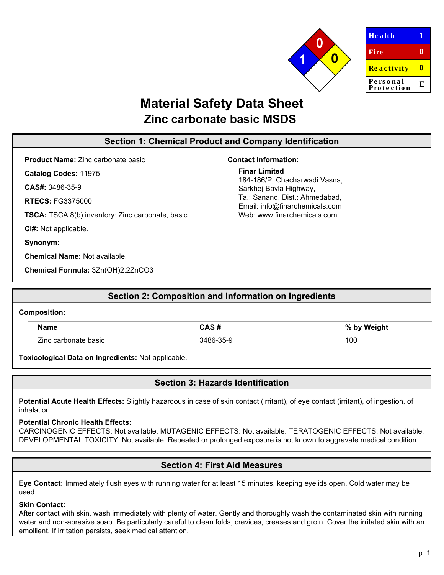

| <b>Health</b>          | Ί |
|------------------------|---|
| Fire                   | 0 |
| Reactivity             | Ш |
| Personal<br>Protection | E |
|                        |   |

# **Material Safety Data Sheet Zinc carbonate basic MSDS**

### **Section 1: Chemical Product and Company Identification**

**Product Name:** Zinc carbonate basic

**Catalog Codes:** 11975

**CAS#:** 3486-35-9

**RTECS:** FG3375000

**TSCA:** TSCA 8(b) inventory: Zinc carbonate, basic

**CI#:** Not applicable.

**Synonym:**

**Chemical Name:** Not available.

**Chemical Formula:** 3Zn(OH)2.2ZnCO3

# **Contact Information:**

**Finar Limited** 184-186/P, Chacharwadi Vasna, Sarkhej-Bavla Highway, Ta.: Sanand, Dist.: Ahmedabad, Email: info@finarchemicals.com Web: www.fin[archemicals.com](http://www.sciencelab.com/)

|                                                    | Section 2: Composition and Information on Ingredients |             |
|----------------------------------------------------|-------------------------------------------------------|-------------|
| <b>Composition:</b>                                |                                                       |             |
| <b>Name</b>                                        | CAS#                                                  | % by Weight |
| Zinc carbonate basic                               | 3486-35-9                                             | 100         |
| Toxicological Data on Ingredients: Not applicable. |                                                       |             |

# **Section 3: Hazards Identification**

Potential Acute Health Effects: Slightly hazardous in case of skin contact (irritant), of eye contact (irritant), of ingestion, of inhalation.

### **Potential Chronic Health Effects:**

CARCINOGENIC EFFECTS: Not available. MUTAGENIC EFFECTS: Not available. TERATOGENIC EFFECTS: Not available. DEVELOPMENTAL TOXICITY: Not available. Repeated or prolonged exposure is not known to aggravate medical condition.

# **Section 4: First Aid Measures**

**Eye Contact:** Immediately flush eyes with running water for at least 15 minutes, keeping eyelids open. Cold water may be used.

### **Skin Contact:**

After contact with skin, wash immediately with plenty of water. Gently and thoroughly wash the contaminated skin with running water and non-abrasive soap. Be particularly careful to clean folds, crevices, creases and groin. Cover the irritated skin with an emollient. If irritation persists, seek medical attention.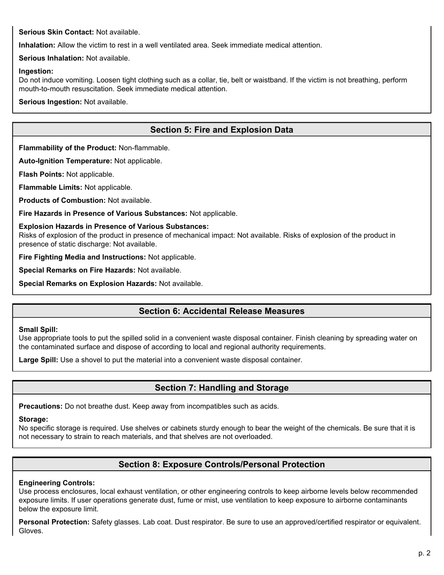**Serious Skin Contact:** Not available.

**Inhalation:** Allow the victim to rest in a well ventilated area. Seek immediate medical attention.

**Serious Inhalation:** Not available.

#### **Ingestion:**

Do not induce vomiting. Loosen tight clothing such as a collar, tie, belt or waistband. If the victim is not breathing, perform mouth-to-mouth resuscitation. Seek immediate medical attention.

**Serious Ingestion:** Not available.

# **Section 5: Fire and Explosion Data**

**Flammability of the Product:** Non-flammable.

**Auto-Ignition Temperature:** Not applicable.

**Flash Points:** Not applicable.

**Flammable Limits:** Not applicable.

**Products of Combustion:** Not available.

**Fire Hazards in Presence of Various Substances:** Not applicable.

#### **Explosion Hazards in Presence of Various Substances:**

Risks of explosion of the product in presence of mechanical impact: Not available. Risks of explosion of the product in presence of static discharge: Not available.

**Fire Fighting Media and Instructions:** Not applicable.

**Special Remarks on Fire Hazards:** Not available.

**Special Remarks on Explosion Hazards:** Not available.

### **Section 6: Accidental Release Measures**

#### **Small Spill:**

Use appropriate tools to put the spilled solid in a convenient waste disposal container. Finish cleaning by spreading water on the contaminated surface and dispose of according to local and regional authority requirements.

**Large Spill:** Use a shovel to put the material into a convenient waste disposal container.

### **Section 7: Handling and Storage**

**Precautions:** Do not breathe dust. Keep away from incompatibles such as acids.

### **Storage:**

No specific storage is required. Use shelves or cabinets sturdy enough to bear the weight of the chemicals. Be sure that it is not necessary to strain to reach materials, and that shelves are not overloaded.

# **Section 8: Exposure Controls/Personal Protection**

### **Engineering Controls:**

Use process enclosures, local exhaust ventilation, or other engineering controls to keep airborne levels below recommended exposure limits. If user operations generate dust, fume or mist, use ventilation to keep exposure to airborne contaminants below the exposure limit.

**Personal Protection:** Safety glasses. Lab coat. Dust respirator. Be sure to use an approved/certified respirator or equivalent. Gloves.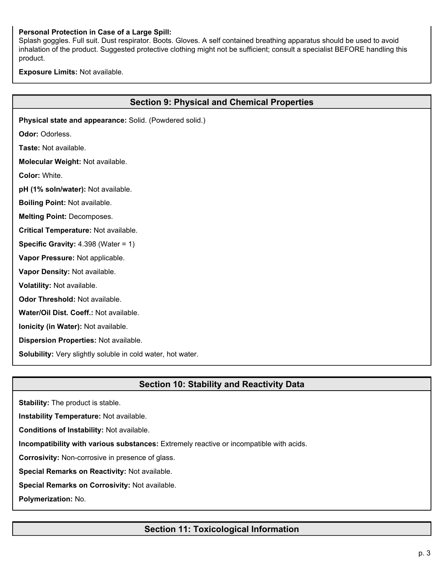### **Personal Protection in Case of a Large Spill:**

Splash goggles. Full suit. Dust respirator. Boots. Gloves. A self contained breathing apparatus should be used to avoid inhalation of the product. Suggested protective clothing might not be sufficient; consult a specialist BEFORE handling this product.

**Exposure Limits:** Not available.

| <b>Section 9: Physical and Chemical Properties</b>          |
|-------------------------------------------------------------|
| Physical state and appearance: Solid. (Powdered solid.)     |
| Odor: Odorless.                                             |
| Taste: Not available.                                       |
| Molecular Weight: Not available.                            |
| Color: White.                                               |
| pH (1% soln/water): Not available.                          |
| <b>Boiling Point: Not available.</b>                        |
| <b>Melting Point: Decomposes.</b>                           |
| Critical Temperature: Not available.                        |
| <b>Specific Gravity: </b> 4.398 (Water = 1)                 |
| Vapor Pressure: Not applicable.                             |
| Vapor Density: Not available.                               |
| Volatility: Not available.                                  |
| Odor Threshold: Not available.                              |
| Water/Oil Dist. Coeff.: Not available.                      |
| Ionicity (in Water): Not available.                         |
| Dispersion Properties: Not available.                       |
| Solubility: Very slightly soluble in cold water, hot water. |
|                                                             |

### **Section 10: Stability and Reactivity Data**

**Stability:** The product is stable.

**Instability Temperature:** Not available.

**Conditions of Instability:** Not available.

**Incompatibility with various substances:** Extremely reactive or incompatible with acids.

**Corrosivity:** Non-corrosive in presence of glass.

**Special Remarks on Reactivity:** Not available.

**Special Remarks on Corrosivity:** Not available.

**Polymerization:** No.

# **Section 11: Toxicological Information**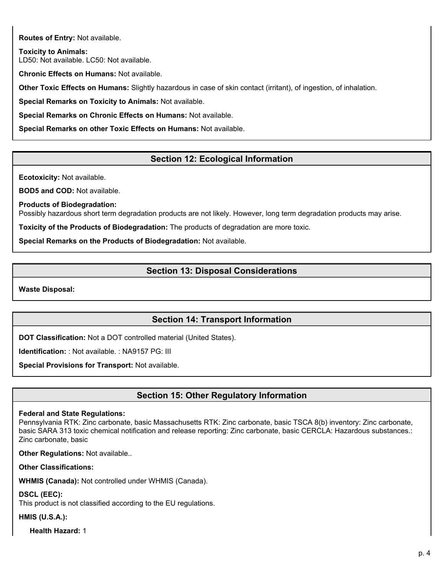**Routes of Entry:** Not available.

**Toxicity to Animals:** LD50: Not available. LC50: Not available.

**Chronic Effects on Humans:** Not available.

**Other Toxic Effects on Humans:** Slightly hazardous in case of skin contact (irritant), of ingestion, of inhalation.

**Special Remarks on Toxicity to Animals:** Not available.

**Special Remarks on Chronic Effects on Humans:** Not available.

**Special Remarks on other Toxic Effects on Humans:** Not available.

# **Section 12: Ecological Information**

**Ecotoxicity:** Not available.

**BOD5 and COD:** Not available.

**Products of Biodegradation:**

Possibly hazardous short term degradation products are not likely. However, long term degradation products may arise.

**Toxicity of the Products of Biodegradation:** The products of degradation are more toxic.

**Special Remarks on the Products of Biodegradation:** Not available.

### **Section 13: Disposal Considerations**

**Waste Disposal:**

### **Section 14: Transport Information**

**DOT Classification:** Not a DOT controlled material (United States).

**Identification:** : Not available. : NA9157 PG: III

**Special Provisions for Transport:** Not available.

# **Section 15: Other Regulatory Information**

### **Federal and State Regulations:**

Pennsylvania RTK: Zinc carbonate, basic Massachusetts RTK: Zinc carbonate, basic TSCA 8(b) inventory: Zinc carbonate, basic SARA 313 toxic chemical notification and release reporting: Zinc carbonate, basic CERCLA: Hazardous substances.: Zinc carbonate, basic

**Other Regulations:** Not available..

**Other Classifications:**

**WHMIS (Canada):** Not controlled under WHMIS (Canada).

**DSCL (EEC):**

This product is not classified according to the EU regulations.

### **HMIS (U.S.A.):**

**Health Hazard:** 1